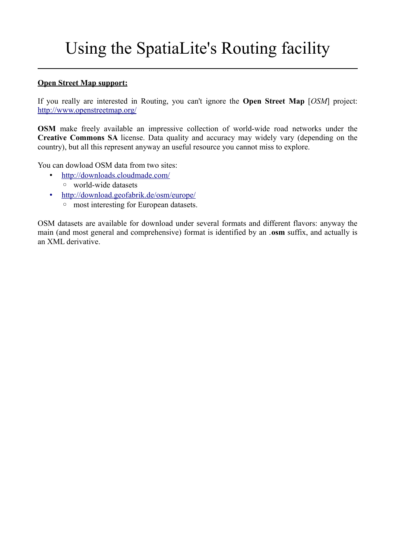# Using the SpatiaLite's Routing facility

#### **Open Street Map support:**

If you really are interested in Routing, you can't ignore the **Open Street Map** [*OSM*] project: <http://www.openstreetmap.org/>

**OSM** make freely available an impressive collection of world-wide road networks under the **Creative Commons SA** license. Data quality and accuracy may widely vary (depending on the country), but all this represent anyway an useful resource you cannot miss to explore.

You can dowload OSM data from two sites:

- •<http://downloads.cloudmade.com/> ◦ world-wide datasets
- •<http://download.geofabrik.de/osm/europe/>
	- most interesting for European datasets.

OSM datasets are available for download under several formats and different flavors: anyway the main (and most general and comprehensive) format is identified by an .**osm** suffix, and actually is an XML derivative.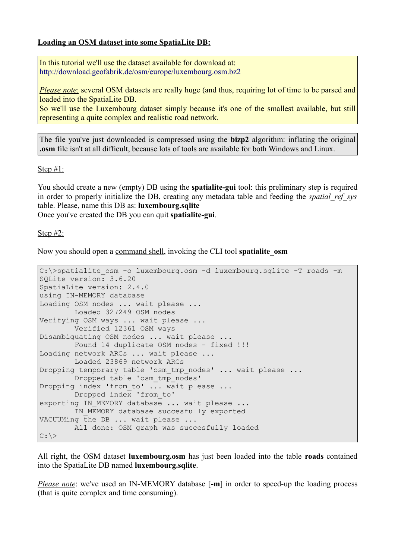### **Loading an OSM dataset into some SpatiaLite DB:**

In this tutorial we'll use the dataset available for download at: <http://download.geofabrik.de/osm/europe/luxembourg.osm.bz2>

*Please note*: several OSM datasets are really huge (and thus, requiring lot of time to be parsed and loaded into the SpatiaLite DB.

So we'll use the Luxembourg dataset simply because it's one of the smallest available, but still representing a quite complex and realistic road network.

The file you've just downloaded is compressed using the **bizp2** algorithm: inflating the original **.osm** file isn't at all difficult, because lots of tools are available for both Windows and Linux.

Step #1:

You should create a new (empty) DB using the **spatialite-gui** tool: this preliminary step is required in order to properly initialize the DB, creating any metadata table and feeding the *spatial\_ref\_sys* table. Please, name this DB as: **luxembourg.sqlite**

Once you've created the DB you can quit **spatialite-gui**.

Step #2:

Now you should open a command shell, invoking the CLI tool **spatialite\_osm**

```
C: \rightarrowspatialite osm -o luxembourg.osm -d luxembourg.sqlite -T roads -m
SQLite version: 3.6.20
SpatiaLite version: 2.4.0
using IN-MEMORY database
Loading OSM nodes ... wait please ...
         Loaded 327249 OSM nodes
Verifying OSM ways ... wait please ...
         Verified 12361 OSM ways
Disambiguating OSM nodes ... wait please ...
       Found 14 duplicate OSM nodes - fixed !!!
Loading network ARCs ... wait please ...
         Loaded 23869 network ARCs
Dropping temporary table 'osm tmp nodes' ... wait please ...
        Dropped table 'osm tmp_nodes'
Dropping index 'from to' ... wait please ...
        Dropped index 'from to'
exporting IN MEMORY database ... wait please ...
        IN MEMORY database succesfully exported
VACUUMing the DB ... wait please ...
         All done: OSM graph was succesfully loaded
C: \>
```
All right, the OSM dataset **luxembourg.osm** has just been loaded into the table **roads** contained into the SpatiaLite DB named **luxembourg.sqlite**.

*Please note*: we've used an IN-MEMORY database [-m] in order to speed-up the loading process (that is quite complex and time consuming).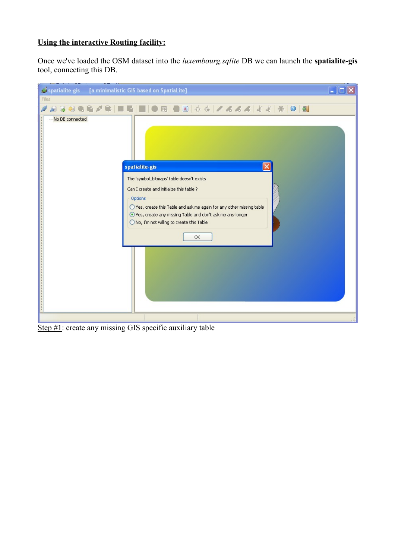## **Using the interactive Routing facility:**

Once we've loaded the OSM dataset into the *luxembourg.sqlite* DB we can launch the **spatialite-gis** tool, connecting this DB.

| spatialite-gis [a minimalistic GIS based on SpatiaLite]                                                                                                                                                                                                                                                                           |  |
|-----------------------------------------------------------------------------------------------------------------------------------------------------------------------------------------------------------------------------------------------------------------------------------------------------------------------------------|--|
| Files<br><b>BOGE</b><br>脸                                                                                                                                                                                                                                                                                                         |  |
| No DB connected<br>spatialite-gis<br>The 'symbol_bitmaps' table doesn't exists<br>Can I create and initialize this table ?<br>Options<br>○ Yes, create this Table and ask me again for any other missing table<br>⊙ Yes, create any missing Table and don't ask me any longer<br>O No, I'm not willing to create this Table<br>OK |  |

Step #1: create any missing GIS specific auxiliary table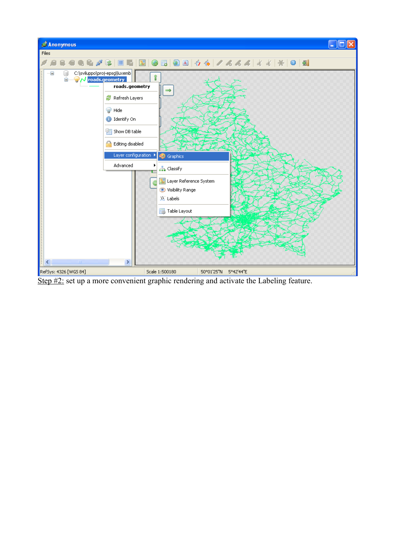

Step #2: set up a more convenient graphic rendering and activate the Labeling feature.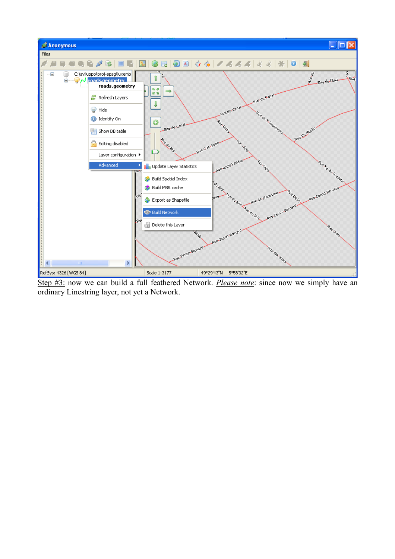

Step #3: now we can build a full feathered Network. *Please note*: since now we simply have an ordinary Linestring layer, not yet a Network.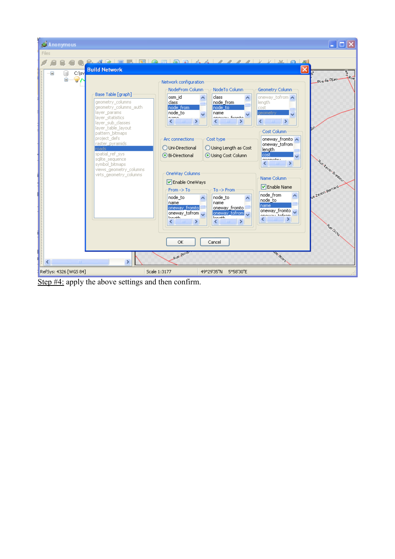

Step  $#4$ : apply the above settings and then confirm.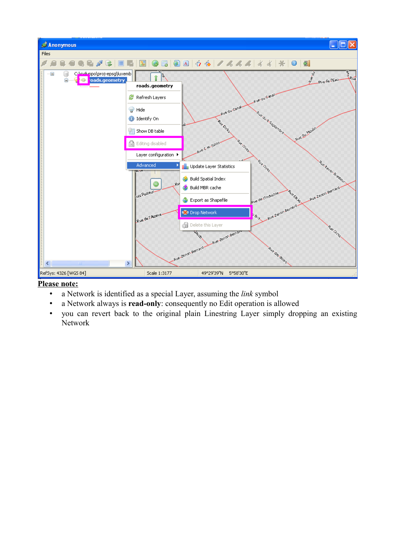

#### **Please note:**

- a Network is identified as a special Layer, assuming the *link* symbol
- a Network always is **read-only**: consequently no Edit operation is allowed
- you can revert back to the original plain Linestring Layer simply dropping an existing Network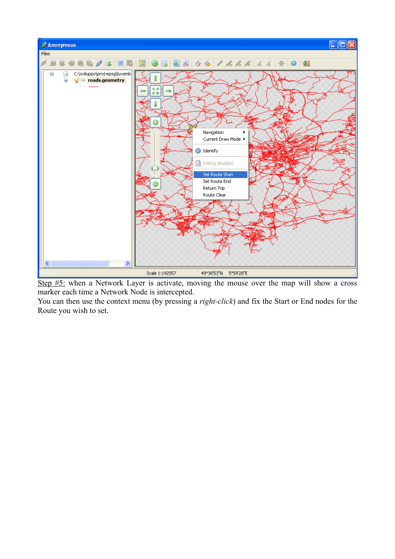

Step #5: when a Network Layer is activate, moving the mouse over the map will show a cross marker each time a Network Node is intercepted.

You can then use the context menu (by pressing a *right-click*) and fix the Start or End nodes for the Route you wish to set.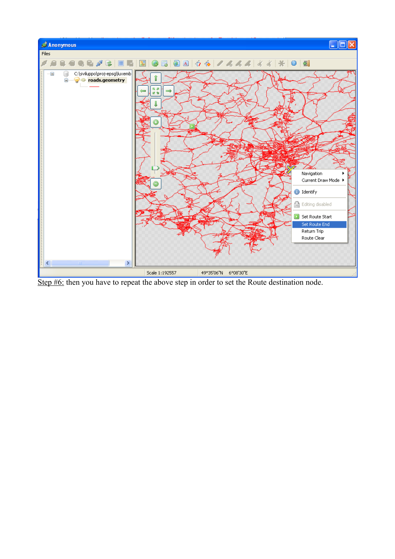

Step #6: then you have to repeat the above step in order to set the Route destination node.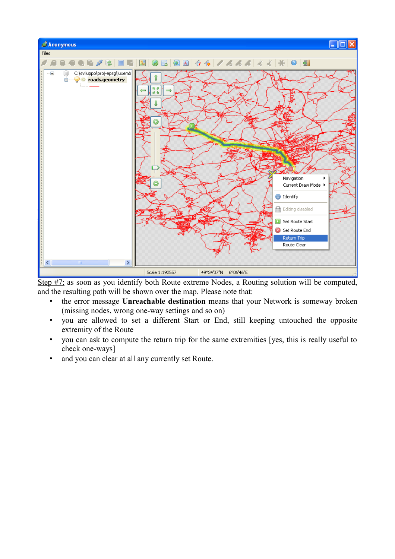

Step #7: as soon as you identify both Route extreme Nodes, a Routing solution will be computed, and the resulting path will be shown over the map. Please note that:

- the error message **Unreachable destination** means that your Network is someway broken (missing nodes, wrong one-way settings and so on)
- you are allowed to set a different Start or End, still keeping untouched the opposite extremity of the Route
- you can ask to compute the return trip for the same extremities [yes, this is really useful to check one-ways]
- and you can clear at all any currently set Route.